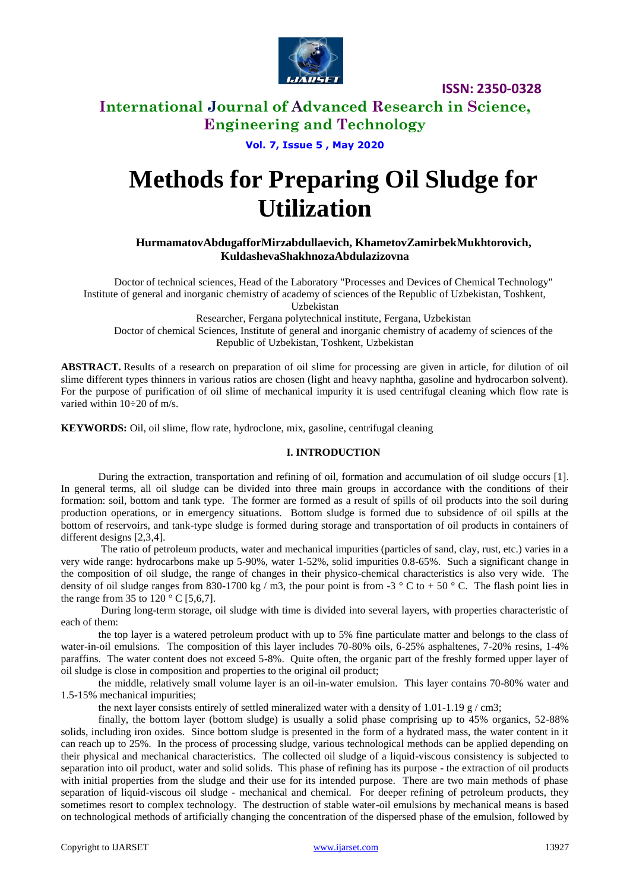

# **International Journal of Advanced Research in Science, Engineering and Technology**

**Vol. 7, Issue 5 , May 2020**

# **Methods for Preparing Oil Sludge for Utilization**

**HurmamatovAbdugafforMirzabdullaevich, KhametovZamirbekMukhtorovich, KuldashevaShakhnozaAbdulazizovna**

Doctor of technical sciences, Head of the Laboratory "Processes and Devices of Chemical Technology" Institute of general and inorganic chemistry of academy of sciences of the Republic of Uzbekistan, Toshkent, Uzbekistan Researcher, Fergana polytechnical institute, Fergana, Uzbekistan

Doctor of chemical Sciences, Institute of general and inorganic chemistry of academy of sciences of the Republic of Uzbekistan, Toshkent, Uzbekistan

**ABSTRACT.** Results of a research on preparation of oil slime for processing are given in article, for dilution of oil slime different types thinners in various ratios are chosen (light and heavy naphtha, gasoline and hydrocarbon solvent). For the purpose of purification of oil slime of mechanical impurity it is used centrifugal cleaning which flow rate is varied within 10÷20 of m/s.

**KEYWORDS:** Oil, oil slime, flow rate, hydroclone, mix, gasoline, centrifugal cleaning

#### **I. INTRODUCTION**

During the extraction, transportation and refining of oil, formation and accumulation of oil sludge occurs [1]. In general terms, all oil sludge can be divided into three main groups in accordance with the conditions of their formation: soil, bottom and tank type. The former are formed as a result of spills of oil products into the soil during production operations, or in emergency situations. Bottom sludge is formed due to subsidence of oil spills at the bottom of reservoirs, and tank-type sludge is formed during storage and transportation of oil products in containers of different designs [2,3,4].

The ratio of petroleum products, water and mechanical impurities (particles of sand, clay, rust, etc.) varies in a very wide range: hydrocarbons make up 5-90%, water 1-52%, solid impurities 0.8-65%. Such a significant change in the composition of oil sludge, the range of changes in their physico-chemical characteristics is also very wide. The density of oil sludge ranges from 830-1700 kg / m3, the pour point is from -3  $\degree$  C to + 50  $\degree$  C. The flash point lies in the range from 35 to  $120^{\circ}$  C [5,6,7].

During long-term storage, oil sludge with time is divided into several layers, with properties characteristic of each of them:

the top layer is a watered petroleum product with up to 5% fine particulate matter and belongs to the class of water-in-oil emulsions. The composition of this layer includes 70-80% oils, 6-25% asphaltenes, 7-20% resins, 1-4% paraffins. The water content does not exceed 5-8%. Quite often, the organic part of the freshly formed upper layer of oil sludge is close in composition and properties to the original oil product;

the middle, relatively small volume layer is an oil-in-water emulsion. This layer contains 70-80% water and 1.5-15% mechanical impurities;

the next layer consists entirely of settled mineralized water with a density of  $1.01$ - $1.19 \text{ g/cm}$ ;

finally, the bottom layer (bottom sludge) is usually a solid phase comprising up to 45% organics, 52-88% solids, including iron oxides. Since bottom sludge is presented in the form of a hydrated mass, the water content in it can reach up to 25%. In the process of processing sludge, various technological methods can be applied depending on their physical and mechanical characteristics. The collected oil sludge of a liquid-viscous consistency is subjected to separation into oil product, water and solid solids. This phase of refining has its purpose - the extraction of oil products with initial properties from the sludge and their use for its intended purpose. There are two main methods of phase separation of liquid-viscous oil sludge - mechanical and chemical. For deeper refining of petroleum products, they sometimes resort to complex technology. The destruction of stable water-oil emulsions by mechanical means is based on technological methods of artificially changing the concentration of the dispersed phase of the emulsion, followed by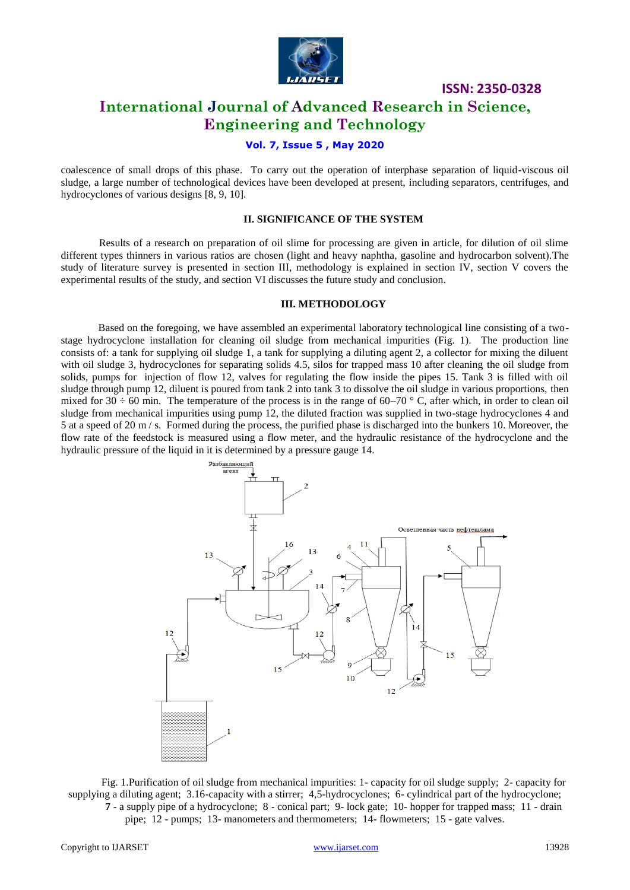

# **International Journal of Advanced Research in Science, Engineering and Technology**

**ISSN: 2350-0328**

#### **Vol. 7, Issue 5 , May 2020**

coalescence of small drops of this phase. To carry out the operation of interphase separation of liquid-viscous oil sludge, a large number of technological devices have been developed at present, including separators, centrifuges, and hydrocyclones of various designs [8, 9, 10].

#### **II. SIGNIFICANCE OF THE SYSTEM**

Results of a research on preparation of oil slime for processing are given in article, for dilution of oil slime different types thinners in various ratios are chosen (light and heavy naphtha, gasoline and hydrocarbon solvent).The study of literature survey is presented in section III, methodology is explained in section IV, section V covers the experimental results of the study, and section VI discusses the future study and conclusion.

#### **III. METHODOLOGY**

Based on the foregoing, we have assembled an experimental laboratory technological line consisting of a twostage hydrocyclone installation for cleaning oil sludge from mechanical impurities (Fig. 1). The production line consists of: a tank for supplying oil sludge 1, a tank for supplying a diluting agent 2, a collector for mixing the diluent with oil sludge 3, hydrocyclones for separating solids 4.5, silos for trapped mass 10 after cleaning the oil sludge from solids, pumps for injection of flow 12, valves for regulating the flow inside the pipes 15. Tank 3 is filled with oil sludge through pump 12, diluent is poured from tank 2 into tank 3 to dissolve the oil sludge in various proportions, then mixed for  $30 \div 60$  min. The temperature of the process is in the range of  $60-70$  ° C, after which, in order to clean oil sludge from mechanical impurities using pump 12, the diluted fraction was supplied in two-stage hydrocyclones 4 and 5 at a speed of 20 m / s. Formed during the process, the purified phase is discharged into the bunkers 10. Moreover, the flow rate of the feedstock is measured using a flow meter, and the hydraulic resistance of the hydrocyclone and the hydraulic pressure of the liquid in it is determined by a pressure gauge 14.



Fig. 1.Purification of oil sludge from mechanical impurities: 1- capacity for oil sludge supply; 2- capacity for supplying a diluting agent; 3.16-capacity with a stirrer; 4,5-hydrocyclones; 6- cylindrical part of the hydrocyclone; **7** - a supply pipe of a hydrocyclone; 8 - conical part; 9- lock gate; 10- hopper for trapped mass; 11 - drain pipe; 12 - pumps; 13- manometers and thermometers; 14- flowmeters; 15 - gate valves.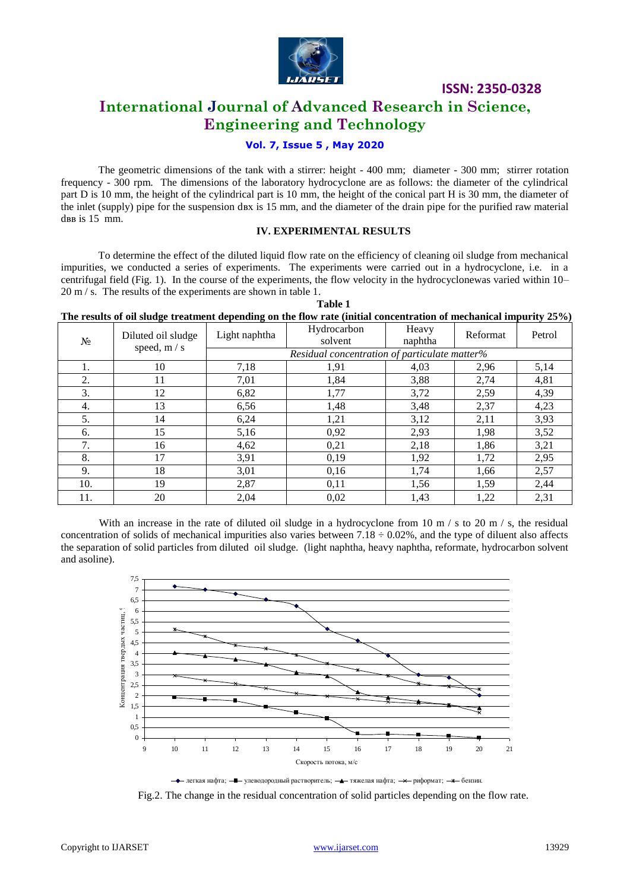

# **International Journal of Advanced Research in Science, Engineering and Technology**

#### **Vol. 7, Issue 5 , May 2020**

The geometric dimensions of the tank with a stirrer: height - 400 mm; diameter - 300 mm; stirrer rotation frequency - 300 rpm. The dimensions of the laboratory hydrocyclone are as follows: the diameter of the cylindrical part D is 10 mm, the height of the cylindrical part is 10 mm, the height of the conical part H is 30 mm, the diameter of the inlet (supply) pipe for the suspension dвх is 15 mm, and the diameter of the drain pipe for the purified raw material dвв is 15 mm.

#### **IV. EXPERIMENTAL RESULTS**

**Table 1**

To determine the effect of the diluted liquid flow rate on the efficiency of cleaning oil sludge from mechanical impurities, we conducted a series of experiments. The experiments were carried out in a hydrocyclone, i.e. in a centrifugal field (Fig. 1). In the course of the experiments, the flow velocity in the hydrocyclonewas varied within 10– 20 m / s. The results of the experiments are shown in table 1.

| The results of oil sludge treatment depending on the flow rate (initial concentration of mechanical impurity 25%) |  |  |  |
|-------------------------------------------------------------------------------------------------------------------|--|--|--|

| $N_2$ | Diluted oil sludge | Light naphtha                                 | Hydrocarbon<br>solvent | Heavy<br>naphtha | Reformat | Petrol |  |
|-------|--------------------|-----------------------------------------------|------------------------|------------------|----------|--------|--|
|       | speed, m / s       | Residual concentration of particulate matter% |                        |                  |          |        |  |
| 1.    | 10                 | 7,18                                          | 1,91                   | 4,03             | 2,96     | 5,14   |  |
| 2.    | 11                 | 7,01                                          | 1,84                   | 3,88             | 2,74     | 4,81   |  |
| 3.    | 12                 | 6,82                                          | 1,77                   | 3,72             | 2,59     | 4,39   |  |
| 4.    | 13                 | 6,56                                          | 1,48                   | 3,48             | 2,37     | 4,23   |  |
| 5.    | 14                 | 6,24                                          | 1,21                   | 3,12             | 2,11     | 3,93   |  |
| 6.    | 15                 | 5,16                                          | 0,92                   | 2,93             | 1,98     | 3,52   |  |
| 7.    | 16                 | 4,62                                          | 0,21                   | 2,18             | 1,86     | 3,21   |  |
| 8.    | 17                 | 3,91                                          | 0.19                   | 1,92             | 1,72     | 2,95   |  |
| 9.    | 18                 | 3,01                                          | 0,16                   | 1,74             | 1,66     | 2,57   |  |
| 10.   | 19                 | 2,87                                          | 0,11                   | 1,56             | 1,59     | 2,44   |  |
| 11.   | 20                 | 2,04                                          | 0,02                   | 1,43             | 1,22     | 2,31   |  |

With an increase in the rate of diluted oil sludge in a hydrocyclone from 10 m  $/$  s to 20 m  $/$  s, the residual concentration of solids of mechanical impurities also varies between  $7.18 \div 0.02\%$ , and the type of diluent also affects the separation of solid particles from diluted oil sludge. (light naphtha, heavy naphtha, reformate, hydrocarbon solvent and asoline).



- тегкая нафта; - улеводородный растворитель; - хяжелая нафта; - унформат; - \* бензин.

Fig.2. The change in the residual concentration of solid particles depending on the flow rate.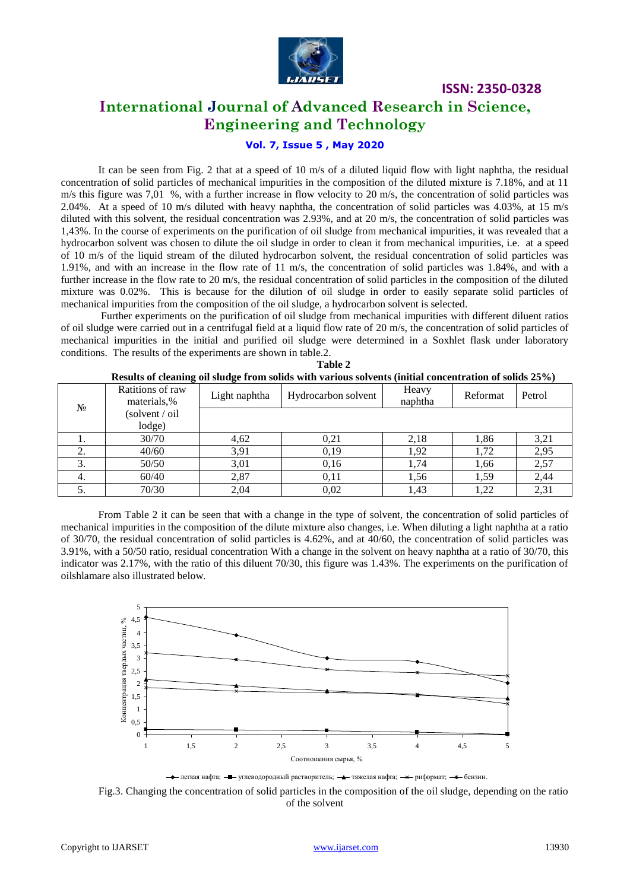

# **International Journal of Advanced Research in Science, Engineering and Technology**

#### **Vol. 7, Issue 5 , May 2020**

It can be seen from Fig. 2 that at a speed of 10 m/s of a diluted liquid flow with light naphtha, the residual concentration of solid particles of mechanical impurities in the composition of the diluted mixture is 7.18%, and at 11  $m/s$  this figure was 7,01 %, with a further increase in flow velocity to 20 m/s, the concentration of solid particles was 2.04%. At a speed of 10 m/s diluted with heavy naphtha, the concentration of solid particles was 4.03%, at 15 m/s diluted with this solvent, the residual concentration was 2.93%, and at 20 m/s, the concentration of solid particles was 1,43%. In the course of experiments on the purification of oil sludge from mechanical impurities, it was revealed that a hydrocarbon solvent was chosen to dilute the oil sludge in order to clean it from mechanical impurities, i.e. at a speed of 10 m/s of the liquid stream of the diluted hydrocarbon solvent, the residual concentration of solid particles was 1.91%, and with an increase in the flow rate of 11 m/s, the concentration of solid particles was 1.84%, and with a further increase in the flow rate to 20 m/s, the residual concentration of solid particles in the composition of the diluted mixture was 0.02%. This is because for the dilution of oil sludge in order to easily separate solid particles of mechanical impurities from the composition of the oil sludge, a hydrocarbon solvent is selected.

Further experiments on the purification of oil sludge from mechanical impurities with different diluent ratios of oil sludge were carried out in a centrifugal field at a liquid flow rate of 20 m/s, the concentration of solid particles of mechanical impurities in the initial and purified oil sludge were determined in a Soxhlet flask under laboratory conditions. The results of the experiments are shown in table.2.

|       |                                 |               | <u>Results of cleaning on situate from solids with various solvents (initial concentration of solids 25 70)</u> |                  |          |        |
|-------|---------------------------------|---------------|-----------------------------------------------------------------------------------------------------------------|------------------|----------|--------|
| $N_2$ | Ratitions of raw<br>materials,% | Light naphtha | Hydrocarbon solvent                                                                                             | Heavy<br>naphtha | Reformat | Petrol |
|       | (solvent / oil                  |               |                                                                                                                 |                  |          |        |
|       | lodge)                          |               |                                                                                                                 |                  |          |        |
|       | 30/70                           | 4,62          | 0,21                                                                                                            | 2.18             | 1,86     | 3,21   |
|       | 40/60                           | 3,91          | 0,19                                                                                                            | 1,92             | 1,72     | 2,95   |
| 3.    | 50/50                           | 3,01          | 0,16                                                                                                            | 1,74             | 1,66     | 2,57   |
| ᠇.    | 60/40                           | 2,87          | 0,11                                                                                                            | 1,56             | 1,59     | 2.44   |
| ິ.    | 70/30                           | 2,04          | 0,02                                                                                                            | 1,43             | 1,22     | 2,31   |

| Table 2                                                                                                |
|--------------------------------------------------------------------------------------------------------|
| Results of cleaning oil sludge from solids with various solvents (initial concentration of solids 25%) |

From Table 2 it can be seen that with a change in the type of solvent, the concentration of solid particles of mechanical impurities in the composition of the dilute mixture also changes, i.e. When diluting a light naphtha at a ratio of 30/70, the residual concentration of solid particles is 4.62%, and at 40/60, the concentration of solid particles was 3.91%, with a 50/50 ratio, residual concentration With a change in the solvent on heavy naphtha at a ratio of 30/70, this indicator was 2.17%, with the ratio of this diluent 70/30, this figure was 1.43%. The experiments on the purification of oilshlamare also illustrated below.



• легкая нафта;  $-$  углеводородный растворитель;  $-$  тяжелая нафта;  $-\times$  риформат;  $-\times$  бензин.

Fig.3. Changing the concentration of solid particles in the composition of the oil sludge, depending on the ratio of the solvent